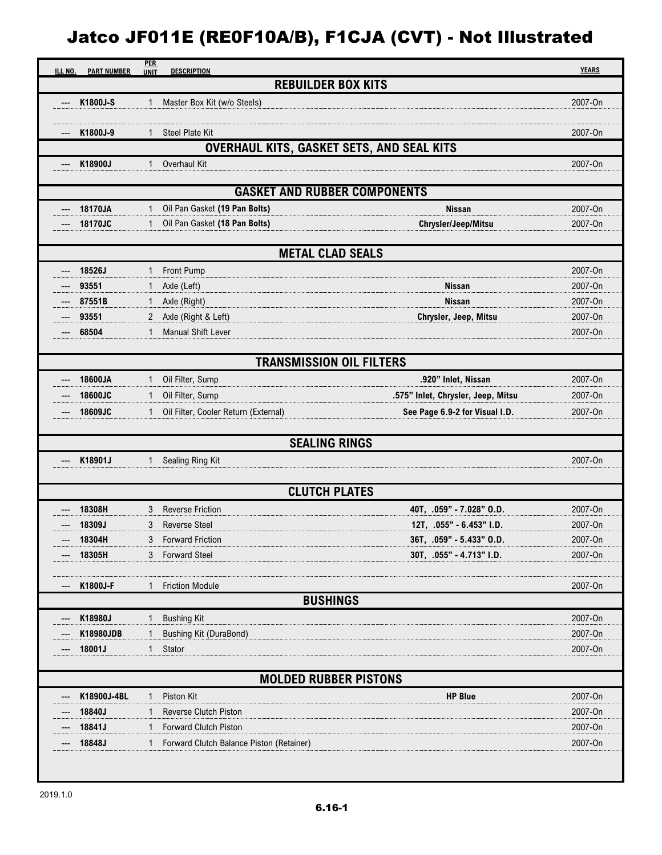## Jatco JF011E (RE0F10A/B), F1CJA (CVT) - Not Illustrated

| ILL NO.<br><b>PART NUMBER</b> | <b>PER</b><br><b>UNIT</b> | <b>DESCRIPTION</b>                        |                                    | <b>YEARS</b> |
|-------------------------------|---------------------------|-------------------------------------------|------------------------------------|--------------|
|                               |                           | <b>REBUILDER BOX KITS</b>                 |                                    |              |
| K1800J-S                      | 1                         | Master Box Kit (w/o Steels)               |                                    | 2007-On      |
|                               |                           |                                           |                                    |              |
| K1800J-9                      |                           | Steel Plate Kit                           |                                    | 2007-On      |
|                               |                           | OVERHAUL KITS, GASKET SETS, AND SEAL KITS |                                    |              |
| K18900J                       | 1                         | Overhaul Kit                              |                                    | 2007-On      |
|                               |                           | <b>GASKET AND RUBBER COMPONENTS</b>       |                                    |              |
|                               |                           |                                           |                                    |              |
| 18170JA                       | 1                         | Oil Pan Gasket (19 Pan Bolts)             | <b>Nissan</b>                      | 2007-On      |
| 18170JC                       | 1                         | Oil Pan Gasket (18 Pan Bolts)             | Chrysler/Jeep/Mitsu                | 2007-On      |
|                               |                           | <b>METAL CLAD SEALS</b>                   |                                    |              |
| 18526J                        | 1                         | Front Pump                                |                                    | 2007-On      |
| 93551                         |                           | Axle (Left)                               | <b>Nissan</b>                      | 2007-On      |
| 87551B                        | 1                         | Axle (Right)                              | <b>Nissan</b>                      | 2007-On      |
| 93551                         |                           | 2 Axle (Right & Left)                     | Chrysler, Jeep, Mitsu              | 2007-On      |
| 68504                         | $\mathbf{1}$              | Manual Shift Lever                        |                                    | 2007-On      |
|                               |                           |                                           |                                    |              |
|                               |                           | <b>TRANSMISSION OIL FILTERS</b>           |                                    |              |
| 18600JA                       | 1                         | Oil Filter, Sump                          | .920" Inlet, Nissan                | 2007-On      |
| 18600JC                       | 1                         | Oil Filter, Sump                          | .575" Inlet, Chrysler, Jeep, Mitsu | 2007-On      |
| 18609JC                       |                           | Oil Filter, Cooler Return (External)      | See Page 6.9-2 for Visual I.D.     | 2007-On      |
|                               |                           |                                           |                                    |              |
|                               |                           | <b>SEALING RINGS</b>                      |                                    |              |
| K18901J                       | 1                         | Sealing Ring Kit                          |                                    | 2007-On      |
|                               |                           |                                           |                                    |              |
|                               |                           | <b>CLUTCH PLATES</b>                      |                                    |              |
| 18308H                        | 3                         | <b>Reverse Friction</b>                   | 40T, .059" - 7.028" O.D.           | 2007-On      |
| 18309J                        | 3                         | <b>Reverse Steel</b>                      | 12T, .055" - 6.453" I.D.           | 2007-On      |
| 18304H                        |                           | 3 Forward Friction                        | 36T, .059" - 5.433" O.D.           | 2007-On      |
| 18305H                        |                           | 3 Forward Steel                           | 30T, .055" - 4.713" I.D.           | 2007-On      |
| K1800J-F                      |                           | <b>Friction Module</b>                    |                                    | 2007-On      |
|                               |                           | <b>BUSHINGS</b>                           |                                    |              |
| K18980J                       |                           | 1 Bushing Kit                             |                                    | 2007-On      |
| K18980JDB                     |                           | <b>Bushing Kit (DuraBond)</b>             |                                    | 2007-On      |
| 18001J                        | $\mathbf{1}$              | Stator                                    |                                    | 2007-On      |
|                               |                           |                                           |                                    |              |
|                               |                           | <b>MOLDED RUBBER PISTONS</b>              |                                    |              |
| K18900J-4BL                   | $\mathbf{1}$              | Piston Kit                                | <b>HP Blue</b>                     | 2007-On      |
| 18840J                        |                           | Reverse Clutch Piston                     |                                    | 2007-On      |
| 18841J                        | $\mathbf{1}$              | <b>Forward Clutch Piston</b>              |                                    | 2007-On      |
| 18848J                        |                           | Forward Clutch Balance Piston (Retainer)  |                                    | 2007-On      |